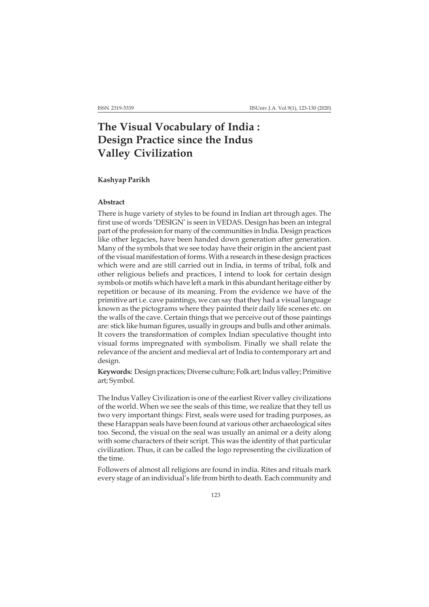# **The Visual Vocabulary of India : Design Practice since the Indus Valley Civilization**

## **Kashyap Parikh**

# **Abstract**

There is huge variety of styles to be found in Indian art through ages. The first use of words 'DESIGN' is seen in VEDAS. Design has been an integral part of the profession for many of the communities in India. Design practices like other legacies, have been handed down generation after generation. Many of the symbols that we see today have their origin in the ancient past of the visual manifestation of forms. With a research in these design practices which were and are still carried out in India, in terms of tribal, folk and other religious beliefs and practices, I intend to look for certain design symbols or motifs which have left a mark in this abundant heritage either by repetition or because of its meaning. From the evidence we have of the primitive art i.e. cave paintings, we can say that they had a visual language known as the pictograms where they painted their daily life scenes etc. on the walls of the cave. Certain things that we perceive out of those paintings are: stick like human figures, usually in groups and bulls and other animals. It covers the transformation of complex Indian speculative thought into visual forms impregnated with symbolism. Finally we shall relate the relevance of the ancient and medieval art of India to contemporary art and design.

**Keywords:** Design practices; Diverse culture; Folk art; Indus valley; Primitive art; Symbol.

The Indus Valley Civilization is one of the earliest River valley civilizations of the world. When we see the seals of this time, we realize that they tell us two very important things: First, seals were used for trading purposes, as these Harappan seals have been found at various other archaeological sites too. Second, the visual on the seal was usually an animal or a deity along with some characters of their script. This was the identity of that particular civilization. Thus, it can be called the logo representing the civilization of the time.

Followers of almost all religions are found in india. Rites and rituals mark every stage of an individual's life from birth to death. Each community and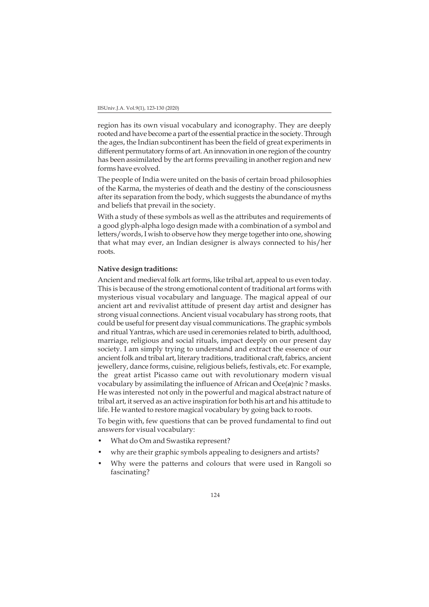region has its own visual vocabulary and iconography. They are deeply rooted and have become a part of the essential practice in the society. Through the ages, the Indian subcontinent has been the field of great experiments in different permutatory forms of art. An innovation in one region of the country has been assimilated by the art forms prevailing in another region and new forms have evolved.

The people of India were united on the basis of certain broad philosophies of the Karma, the mysteries of death and the destiny of the consciousness after its separation from the body, which suggests the abundance of myths and beliefs that prevail in the society.

With a study of these symbols as well as the attributes and requirements of a good glyph-alpha logo design made with a combination of a symbol and letters/words, I wish to observe how they merge together into one, showing that what may ever, an Indian designer is always connected to his/her roots.

#### **Native design traditions:**

Ancient and medieval folk art forms, like tribal art, appeal to us even today. This is because of the strong emotional content of traditional art forms with mysterious visual vocabulary and language. The magical appeal of our ancient art and revivalist attitude of present day artist and designer has strong visual connections. Ancient visual vocabulary has strong roots, that could be useful for present day visual communications. The graphic symbols and ritual Yantras, which are used in ceremonies related to birth, adulthood, marriage, religious and social rituals, impact deeply on our present day society. I am simply trying to understand and extract the essence of our ancient folk and tribal art, literary traditions, traditional craft, fabrics, ancient jewellery, dance forms, cuisine, religious beliefs, festivals, etc. For example, the great artist Picasso came out with revolutionary modern visual vocabulary by assimilating the influence of African and Oce(*a*)nic ? masks. He was interested not only in the powerful and magical abstract nature of tribal art, it served as an active inspiration for both his art and his attitude to life. He wanted to restore magical vocabulary by going back to roots.

To begin with, few questions that can be proved fundamental to find out answers for visual vocabulary:

- What do Om and Swastika represent?
- why are their graphic symbols appealing to designers and artists?
- Why were the patterns and colours that were used in Rangoli so fascinating?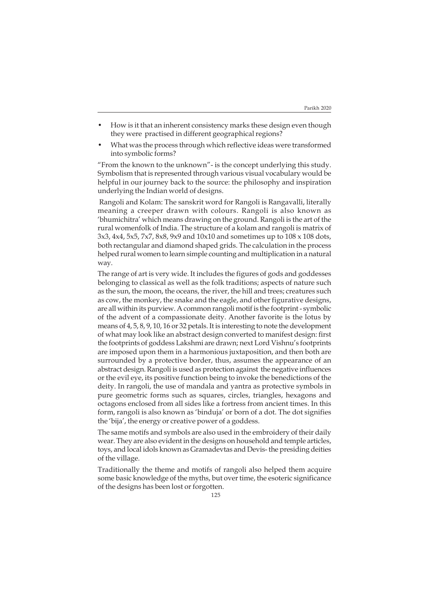- How is it that an inherent consistency marks these design even though they were practised in different geographical regions?
- What was the process through which reflective ideas were transformed into symbolic forms?

"From the known to the unknown"- is the concept underlying this study. Symbolism that is represented through various visual vocabulary would be helpful in our journey back to the source: the philosophy and inspiration underlying the Indian world of designs.

 Rangoli and Kolam: The sanskrit word for Rangoli is Rangavalli, literally meaning a creeper drawn with colours. Rangoli is also known as 'bhumichitra' which means drawing on the ground. Rangoli is the art of the rural womenfolk of India. The structure of a kolam and rangoli is matrix of 3x3, 4x4, 5x5, 7x7, 8x8, 9x9 and 10x10 and sometimes up to 108 x 108 dots, both rectangular and diamond shaped grids. The calculation in the process helped rural women to learn simple counting and multiplication in a natural way.

The range of art is very wide. It includes the figures of gods and goddesses belonging to classical as well as the folk traditions; aspects of nature such as the sun, the moon, the oceans, the river, the hill and trees; creatures such as cow, the monkey, the snake and the eagle, and other figurative designs, are all within its purview. A common rangoli motif is the footprint - symbolic of the advent of a compassionate deity. Another favorite is the lotus by means of 4, 5, 8, 9, 10, 16 or 32 petals. It is interesting to note the development of what may look like an abstract design converted to manifest design: first the footprints of goddess Lakshmi are drawn; next Lord Vishnu's footprints are imposed upon them in a harmonious juxtaposition, and then both are surrounded by a protective border, thus, assumes the appearance of an abstract design. Rangoli is used as protection against the negative influences or the evil eye, its positive function being to invoke the benedictions of the deity. In rangoli, the use of mandala and yantra as protective symbols in pure geometric forms such as squares, circles, triangles, hexagons and octagons enclosed from all sides like a fortress from ancient times. In this form, rangoli is also known as 'binduja' or born of a dot. The dot signifies the 'bija', the energy or creative power of a goddess.

The same motifs and symbols are also used in the embroidery of their daily wear. They are also evident in the designs on household and temple articles, toys, and local idols known as Gramadevtas and Devis- the presiding deities of the village.

Traditionally the theme and motifs of rangoli also helped them acquire some basic knowledge of the myths, but over time, the esoteric significance of the designs has been lost or forgotten.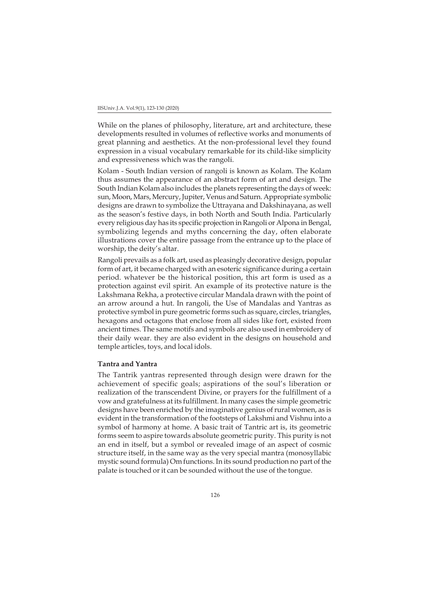While on the planes of philosophy, literature, art and architecture, these developments resulted in volumes of reflective works and monuments of great planning and aesthetics. At the non-professional level they found expression in a visual vocabulary remarkable for its child-like simplicity and expressiveness which was the rangoli.

Kolam - South Indian version of rangoli is known as Kolam. The Kolam thus assumes the appearance of an abstract form of art and design. The South Indian Kolam also includes the planets representing the days of week: sun, Moon, Mars, Mercury, Jupiter, Venus and Saturn. Appropriate symbolic designs are drawn to symbolize the Uttrayana and Dakshinayana, as well as the season's festive days, in both North and South India. Particularly every religious day has its specific projection in Rangoli or Alpona in Bengal, symbolizing legends and myths concerning the day, often elaborate illustrations cover the entire passage from the entrance up to the place of worship, the deity's altar.

Rangoli prevails as a folk art, used as pleasingly decorative design, popular form of art, it became charged with an esoteric significance during a certain period. whatever be the historical position, this art form is used as a protection against evil spirit. An example of its protective nature is the Lakshmana Rekha, a protective circular Mandala drawn with the point of an arrow around a hut. In rangoli, the Use of Mandalas and Yantras as protective symbol in pure geometric forms such as square, circles, triangles, hexagons and octagons that enclose from all sides like fort, existed from ancient times. The same motifs and symbols are also used in embroidery of their daily wear. they are also evident in the designs on household and temple articles, toys, and local idols.

## **Tantra and Yantra**

The Tantrik yantras represented through design were drawn for the achievement of specific goals; aspirations of the soul's liberation or realization of the transcendent Divine, or prayers for the fulfillment of a vow and gratefulness at its fulfillment. In many cases the simple geometric designs have been enriched by the imaginative genius of rural women, as is evident in the transformation of the footsteps of Lakshmi and Vishnu into a symbol of harmony at home. A basic trait of Tantric art is, its geometric forms seem to aspire towards absolute geometric purity. This purity is not an end in itself, but a symbol or revealed image of an aspect of cosmic structure itself, in the same way as the very special mantra (monosyllabic mystic sound formula) Om functions. In its sound production no part of the palate is touched or it can be sounded without the use of the tongue.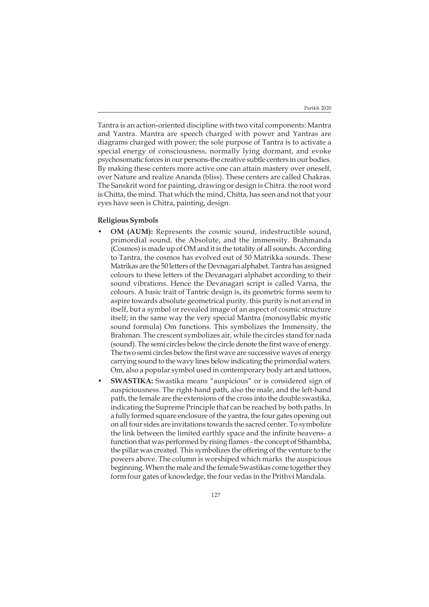Tantra is an action-oriented discipline with two vital components: Mantra and Yantra. Mantra are speech charged with power and Yantras are diagrams charged with power; the sole purpose of Tantra is to activate a special energy of consciousness, normally lying dormant, and evoke psychosomatic forces in our persons-the creative subtle centers in our bodies. By making these centers more active one can attain mastery over oneself, over Nature and realize Ananda (bliss). These centers are called Chakras. The Sanskrit word for painting, drawing or design is Chitra. the root word is Chitta, the mind. That which the mind, Chitta, has seen and not that your eyes have seen is Chitra, painting, design.

## **Religious Symbols**

- **OM (AUM):** Represents the cosmic sound, indestructible sound, primordial sound, the Absolute, and the immensity. Brahmanda (Cosmos) is made up of OM and it is the totality of all sounds. According to Tantra, the cosmos has evolved out of 50 Matrikka sounds. These Matrikas are the 50 letters of the Devnagari alphabet. Tantra has assigned colours to these letters of the Devanagari alphabet according to their sound vibrations. Hence the Devanagari script is called Varna, the colours. A basic trait of Tantric design is, its geometric forms seem to aspire towards absolute geometrical purity. this purity is not an end in itself, but a symbol or revealed image of an aspect of cosmic structure itself; in the same way the very special Mantra (monosyllabic mystic sound formula) Om functions. This symbolizes the Immensity, the Brahman. The crescent symbolizes air, while the circles stand for nada (sound). The semi circles below the circle denote the first wave of energy. The two semi circles below the first wave are successive waves of energy carrying sound to the wavy lines below indicating the primordial waters. Om, also a popular symbol used in contemporary body art and tattoos,
- **SWASTIKA:** Swastika means "auspicious" or is considered sign of auspiciousness. The right-hand path, also the male, and the left-hand path, the female are the extensions of the cross into the double swastika, indicating the Supreme Principle that can be reached by both paths. In a fully formed square enclosure of the yantra, the four gates opening out on all four sides are invitations towards the sacred center. To symbolize the link between the limited earthly space and the infinite heavens- a function that was performed by rising flames - the concept of Sthambha, the pillar was created. This symbolizes the offering of the venture to the powers above. The column is worshiped which marks the auspicious beginning. When the male and the female Swastikas come together they form four gates of knowledge, the four vedas in the Prithvi Mandala.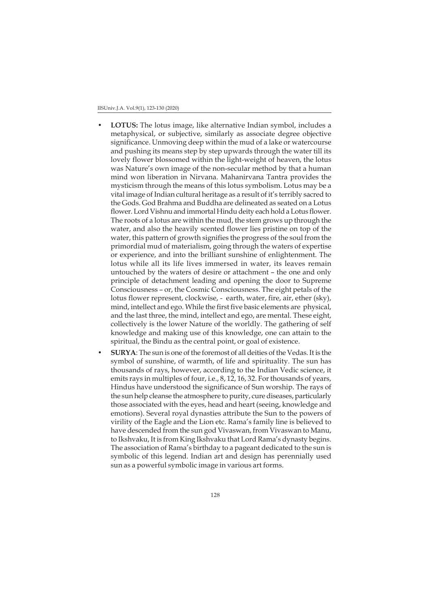- **LOTUS:** The lotus image, like alternative Indian symbol, includes a metaphysical, or subjective, similarly as associate degree objective significance. Unmoving deep within the mud of a lake or watercourse and pushing its means step by step upwards through the water till its lovely flower blossomed within the light-weight of heaven, the lotus was Nature's own image of the non-secular method by that a human mind won liberation in Nirvana. Mahanirvana Tantra provides the mysticism through the means of this lotus symbolism. Lotus may be a vital image of Indian cultural heritage as a result of it's terribly sacred to the Gods. God Brahma and Buddha are delineated as seated on a Lotus flower. Lord Vishnu and immortal Hindu deity each hold a Lotus flower. The roots of a lotus are within the mud, the stem grows up through the water, and also the heavily scented flower lies pristine on top of the water, this pattern of growth signifies the progress of the soul from the primordial mud of materialism, going through the waters of expertise or experience, and into the brilliant sunshine of enlightenment. The lotus while all its life lives immersed in water, its leaves remain untouched by the waters of desire or attachment – the one and only principle of detachment leading and opening the door to Supreme Consciousness – or, the Cosmic Consciousness. The eight petals of the lotus flower represent, clockwise, - earth, water, fire, air, ether (sky), mind, intellect and ego. While the first five basic elements are physical, and the last three, the mind, intellect and ego, are mental. These eight, collectively is the lower Nature of the worldly. The gathering of self knowledge and making use of this knowledge, one can attain to the spiritual, the Bindu as the central point, or goal of existence.
- **SURYA**: The sun is one of the foremost of all deities of the Vedas. It is the symbol of sunshine, of warmth, of life and spirituality. The sun has thousands of rays, however, according to the Indian Vedic science, it emits rays in multiples of four, i.e., 8, 12, 16, 32. For thousands of years, Hindus have understood the significance of Sun worship. The rays of the sun help cleanse the atmosphere to purity, cure diseases, particularly those associated with the eyes, head and heart (seeing, knowledge and emotions). Several royal dynasties attribute the Sun to the powers of virility of the Eagle and the Lion etc. Rama's family line is believed to have descended from the sun god Vivaswan, from Vivaswan to Manu, to Ikshvaku, It is from King Ikshvaku that Lord Rama's dynasty begins. The association of Rama's birthday to a pageant dedicated to the sun is symbolic of this legend. Indian art and design has perennially used sun as a powerful symbolic image in various art forms.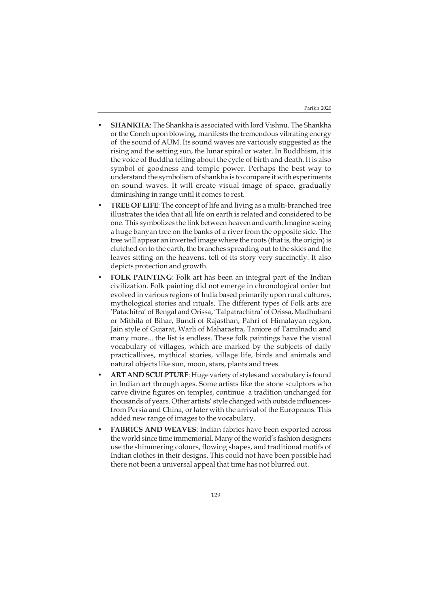- **SHANKHA**: The Shankha is associated with lord Vishnu. The Shankha or the Conch upon blowing, manifests the tremendous vibrating energy of the sound of AUM. Its sound waves are variously suggested as the rising and the setting sun, the lunar spiral or water. In Buddhism, it is the voice of Buddha telling about the cycle of birth and death. It is also symbol of goodness and temple power. Perhaps the best way to understand the symbolism of shankha is to compare it with experiments on sound waves. It will create visual image of space, gradually diminishing in range until it comes to rest.
- **TREE OF LIFE**: The concept of life and living as a multi-branched tree illustrates the idea that all life on earth is related and considered to be one. This symbolizes the link between heaven and earth. Imagine seeing a huge banyan tree on the banks of a river from the opposite side. The tree will appear an inverted image where the roots (that is, the origin) is clutched on to the earth, the branches spreading out to the skies and the leaves sitting on the heavens, tell of its story very succinctly. It also depicts protection and growth.
- **FOLK PAINTING**: Folk art has been an integral part of the Indian civilization. Folk painting did not emerge in chronological order but evolved in various regions of India based primarily upon rural cultures, mythological stories and rituals. The different types of Folk arts are 'Patachitra' of Bengal and Orissa, 'Talpatrachitra' of Orissa, Madhubani or Mithila of Bihar, Bundi of Rajasthan, Pahri of Himalayan region, Jain style of Gujarat, Warli of Maharastra, Tanjore of Tamilnadu and many more... the list is endless. These folk paintings have the visual vocabulary of villages, which are marked by the subjects of daily practicallives, mythical stories, village life, birds and animals and natural objects like sun, moon, stars, plants and trees.
- **ART AND SCULPTURE**: Huge variety of styles and vocabulary is found in Indian art through ages. Some artists like the stone sculptors who carve divine figures on temples, continue a tradition unchanged for thousands of years. Other artists' style changed with outside influencesfrom Persia and China, or later with the arrival of the Europeans. This added new range of images to the vocabulary.
- **FABRICS AND WEAVES**: Indian fabrics have been exported across the world since time immemorial. Many of the world's fashion designers use the shimmering colours, flowing shapes, and traditional motifs of Indian clothes in their designs. This could not have been possible had there not been a universal appeal that time has not blurred out.